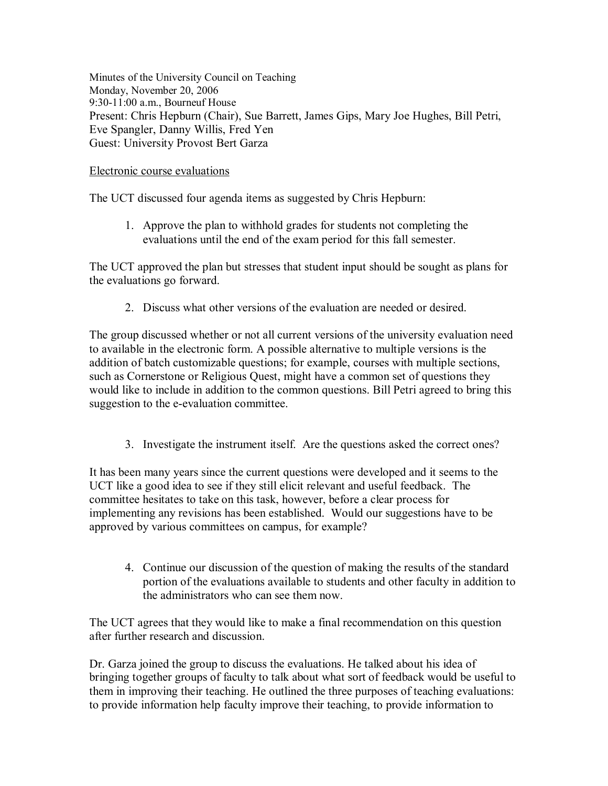Minutes of the University Council on Teaching Monday, November 20, 2006 9:30-11:00 a.m., Bourneuf House Present: Chris Hepburn (Chair), Sue Barrett, James Gips, Mary Joe Hughes, Bill Petri, Eve Spangler, Danny Willis, Fred Yen Guest: University Provost Bert Garza

## Electronic course evaluations

The UCT discussed four agenda items as suggested by Chris Hepburn:

1. Approve the plan to withhold grades for students not completing the evaluations until the end of the exam period for this fall semester.

The UCT approved the plan but stresses that student input should be sought as plans for the evaluations go forward.

2. Discuss what other versions of the evaluation are needed or desired.

The group discussed whether or not all current versions of the university evaluation need to available in the electronic form. A possible alternative to multiple versions is the addition of batch customizable questions; for example, courses with multiple sections, such as Cornerstone or Religious Quest, might have a common set of questions they would like to include in addition to the common questions. Bill Petri agreed to bring this suggestion to the e-evaluation committee.

3. Investigate the instrument itself. Are the questions asked the correct ones?

It has been many years since the current questions were developed and it seems to the UCT like a good idea to see if they still elicit relevant and useful feedback. The committee hesitates to take on this task, however, before a clear process for implementing any revisions has been established. Would our suggestions have to be approved by various committees on campus, for example?

4. Continue our discussion of the question of making the results of the standard portion of the evaluations available to students and other faculty in addition to the administrators who can see them now.

The UCT agrees that they would like to make a final recommendation on this question after further research and discussion.

Dr. Garza joined the group to discuss the evaluations. He talked about his idea of bringing together groups of faculty to talk about what sort of feedback would be useful to them in improving their teaching. He outlined the three purposes of teaching evaluations: to provide information help faculty improve their teaching, to provide information to